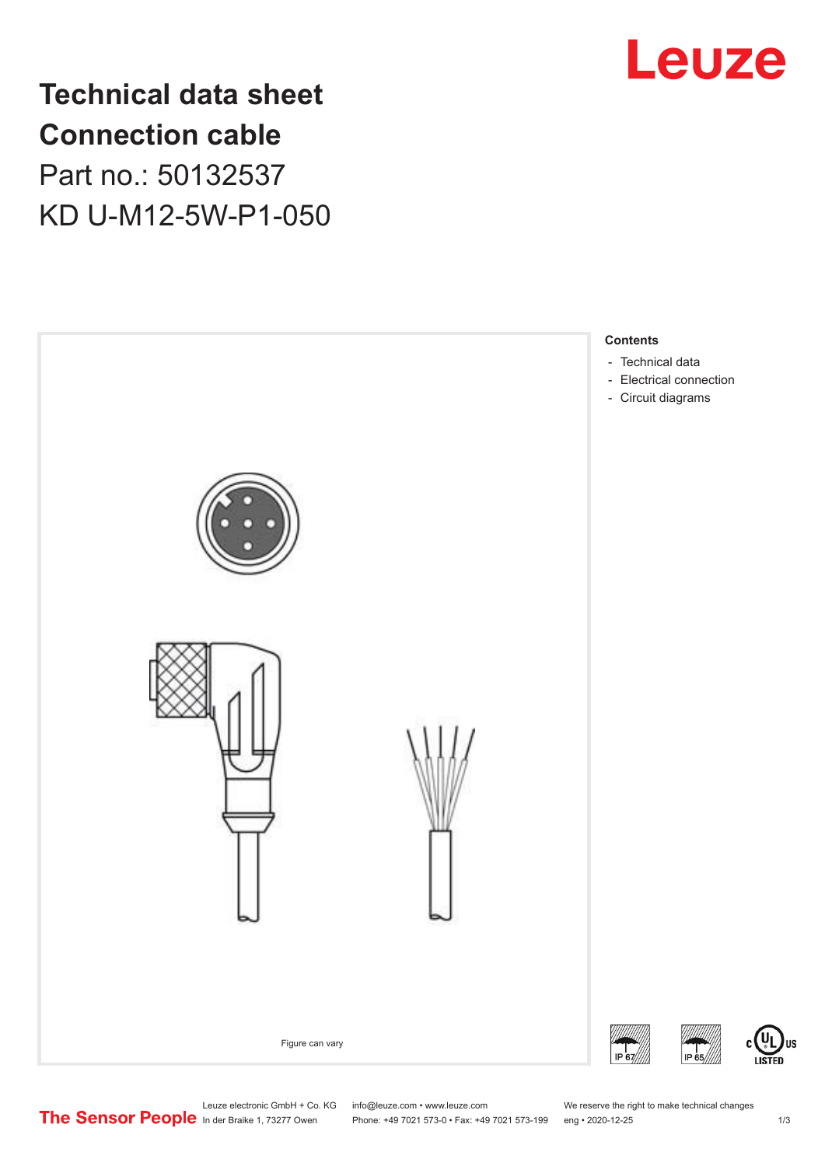

## **Technical data sheet Connection cable** Part no.: 50132537 KD U-M12-5W-P1-050



Leuze electronic GmbH + Co. KG info@leuze.com • www.leuze.com We reserve the right to make technical changes<br>
The Sensor People in der Braike 1, 73277 Owen Phone: +49 7021 573-0 • Fax: +49 7021 573-199 eng • 2020-12-25

Phone: +49 7021 573-0 • Fax: +49 7021 573-199 eng • 2020-12-25 1 /3

US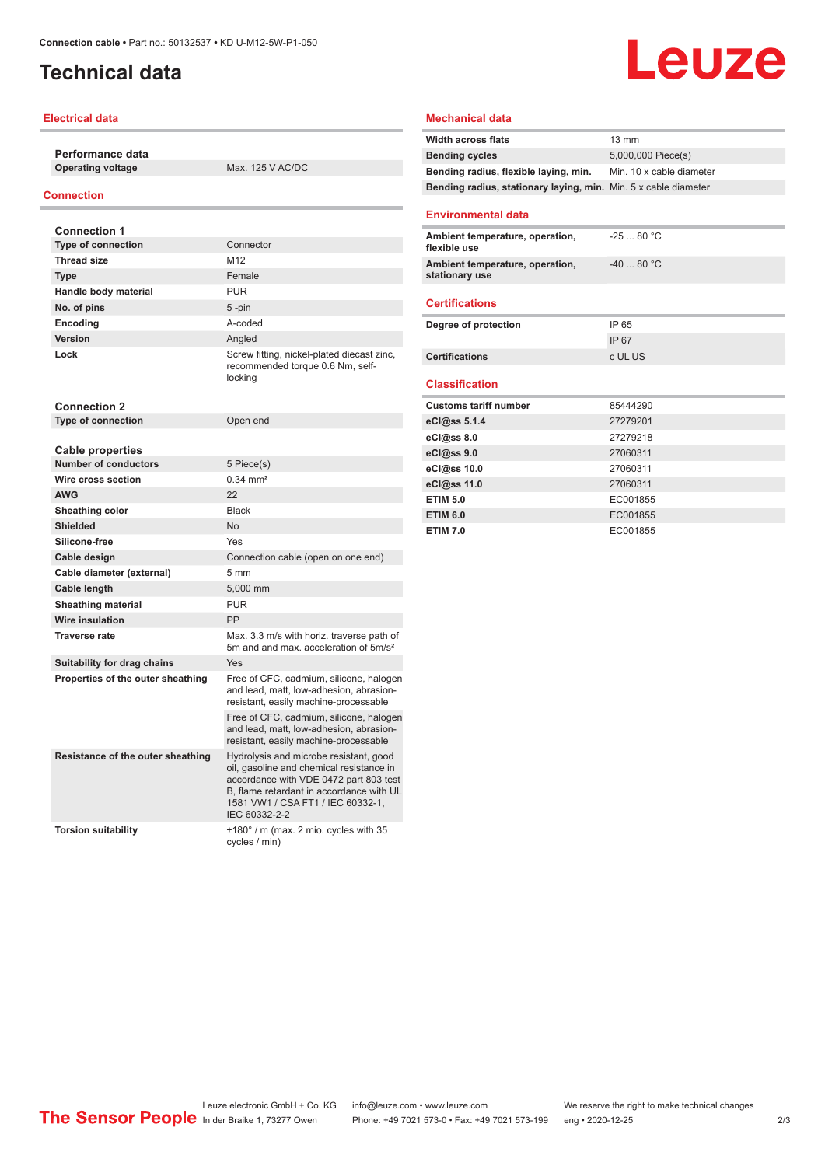## <span id="page-1-0"></span>**Technical data**

## **Electrical data**

**Performance data Operating voltage** Max. 125 V AC/DC

## **Connection**

| <b>Connection 1</b>                                    |                                                                                                                                                                                                                                |
|--------------------------------------------------------|--------------------------------------------------------------------------------------------------------------------------------------------------------------------------------------------------------------------------------|
| <b>Type of connection</b>                              | Connector                                                                                                                                                                                                                      |
| <b>Thread size</b>                                     | M12                                                                                                                                                                                                                            |
| <b>Type</b>                                            | Female                                                                                                                                                                                                                         |
| Handle body material                                   | <b>PUR</b>                                                                                                                                                                                                                     |
| No. of pins                                            | $5 - pin$                                                                                                                                                                                                                      |
| Encoding                                               | A-coded                                                                                                                                                                                                                        |
| <b>Version</b>                                         | Angled                                                                                                                                                                                                                         |
| Lock                                                   | Screw fitting, nickel-plated diecast zinc,<br>recommended torque 0.6 Nm, self-<br>locking                                                                                                                                      |
| <b>Connection 2</b>                                    |                                                                                                                                                                                                                                |
| <b>Type of connection</b>                              | Open end                                                                                                                                                                                                                       |
|                                                        |                                                                                                                                                                                                                                |
| <b>Cable properties</b><br><b>Number of conductors</b> |                                                                                                                                                                                                                                |
|                                                        | 5 Piece(s)<br>$0.34 \, \text{mm}^2$                                                                                                                                                                                            |
| Wire cross section                                     |                                                                                                                                                                                                                                |
| <b>AWG</b>                                             | 22                                                                                                                                                                                                                             |
| Sheathing color                                        | <b>Black</b>                                                                                                                                                                                                                   |
| <b>Shielded</b>                                        | N <sub>o</sub>                                                                                                                                                                                                                 |
| Silicone-free                                          | Yes                                                                                                                                                                                                                            |
| Cable design                                           | Connection cable (open on one end)                                                                                                                                                                                             |
| Cable diameter (external)                              | 5 <sub>mm</sub>                                                                                                                                                                                                                |
| Cable length                                           | 5,000 mm                                                                                                                                                                                                                       |
| <b>Sheathing material</b>                              | <b>PUR</b>                                                                                                                                                                                                                     |
| <b>Wire insulation</b>                                 | PP                                                                                                                                                                                                                             |
| <b>Traverse rate</b>                                   | Max, 3.3 m/s with horiz, traverse path of<br>5m and and max. acceleration of 5m/s <sup>2</sup>                                                                                                                                 |
| Suitability for drag chains                            | Yes                                                                                                                                                                                                                            |
| Properties of the outer sheathing                      | Free of CFC, cadmium, silicone, halogen<br>and lead, matt, low-adhesion, abrasion-<br>resistant, easily machine-processable                                                                                                    |
|                                                        | Free of CFC, cadmium, silicone, halogen<br>and lead, matt, low-adhesion, abrasion-<br>resistant, easily machine-processable                                                                                                    |
| Resistance of the outer sheathing                      | Hydrolysis and microbe resistant, good<br>oil, gasoline and chemical resistance in<br>accordance with VDE 0472 part 803 test<br>B, flame retardant in accordance with UL<br>1581 VW1 / CSA FT1 / IEC 60332-1,<br>IEC 60332-2-2 |
| <b>Torsion suitability</b>                             | ±180° / m (max. 2 mio. cycles with 35<br>cycles / min)                                                                                                                                                                         |

#### **Mechanical data**

| <b>Width across flats</b>                                       | $13 \text{ mm}$          |
|-----------------------------------------------------------------|--------------------------|
| <b>Bending cycles</b>                                           | 5,000,000 Piece(s)       |
| Bending radius, flexible laying, min.                           | Min. 10 x cable diameter |
| Bending radius, stationary laying, min. Min. 5 x cable diameter |                          |
| <b>Environmental data</b>                                       |                          |
| Ambient temperature, operation,<br>flexible use                 | $-2580 °C$               |
| Ambient temperature, operation,<br>stationary use               | $-4080 °C$               |
| <b>Certifications</b>                                           |                          |
| Degree of protection                                            | IP 65                    |
|                                                                 | IP 67                    |
| <b>Certifications</b>                                           | c UL US                  |
| <b>Classification</b>                                           |                          |
| <b>Customs tariff number</b>                                    | 85444290                 |
| eCl@ss 5.1.4                                                    | 27279201                 |
| eCl@ss 8.0                                                      | 27279218                 |
| eCl@ss 9.0                                                      | 27060311                 |
| eCl@ss 10.0                                                     | 27060311                 |
| eCl@ss 11.0                                                     | 27060311                 |
| <b>ETIM 5.0</b>                                                 | EC001855                 |
| <b>ETIM 6.0</b>                                                 | EC001855                 |
| <b>ETIM 7.0</b>                                                 | EC001855                 |

# Leuze